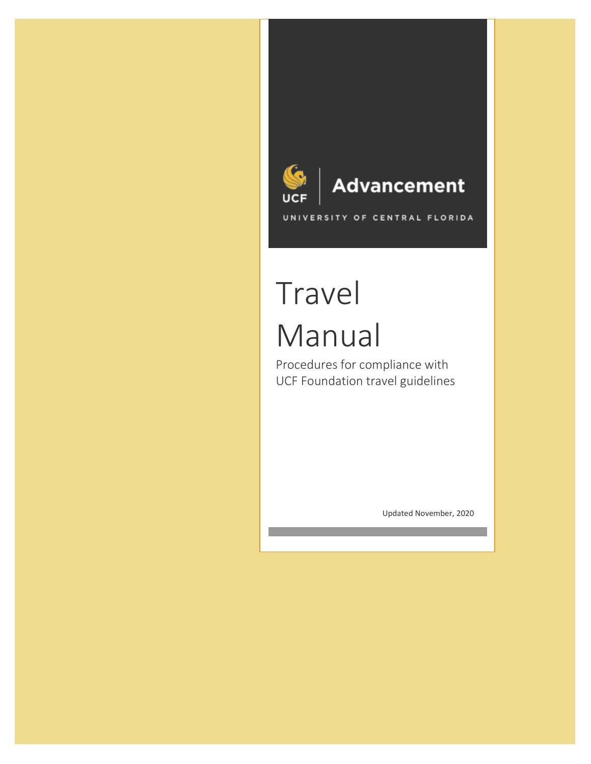

# Travel Manual

Procedures for compliance with UCF Foundation travel guidelines

Updated November, 2020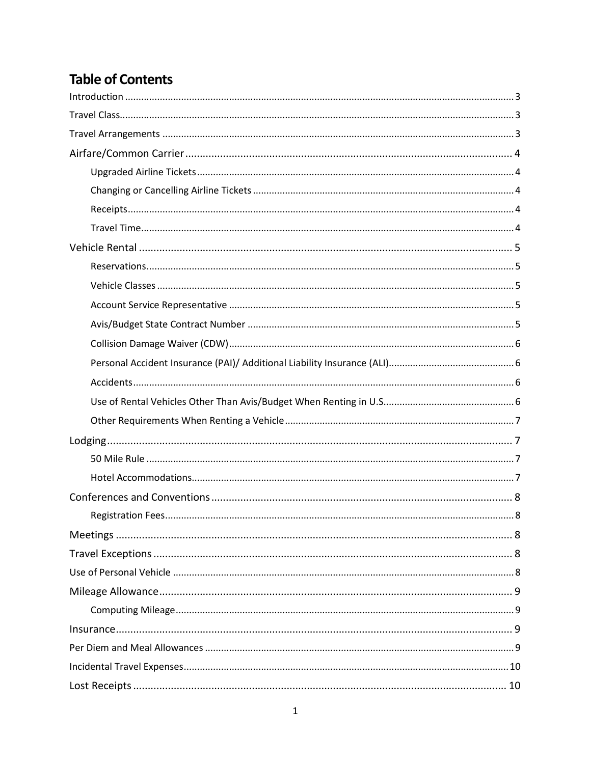# **Table of Contents**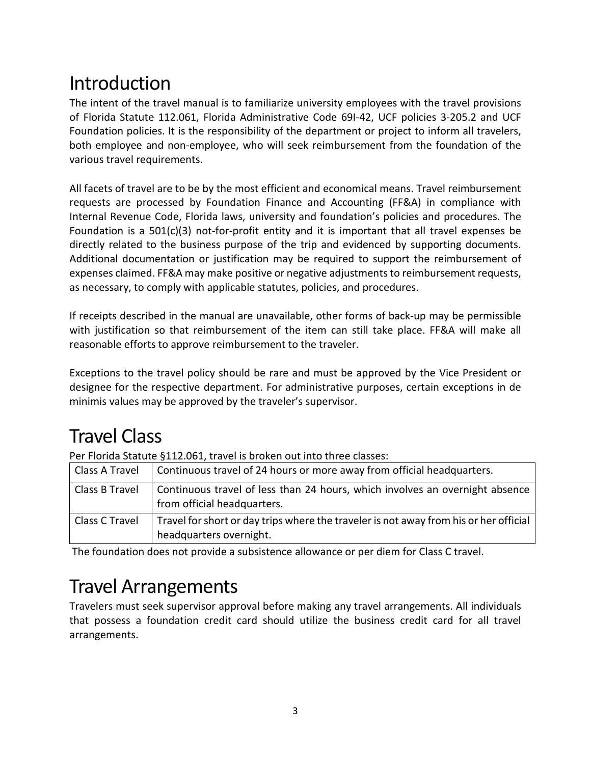# <span id="page-3-0"></span>Introduction

The intent of the travel manual is to familiarize university employees with the travel provisions of Florida Statute 112.061, Florida Administrative Code 69I-42, UCF policies 3-205.2 and UCF Foundation policies. It is the responsibility of the department or project to inform all travelers, both employee and non-employee, who will seek reimbursement from the foundation of the various travel requirements.

All facets of travel are to be by the most efficient and economical means. Travel reimbursement requests are processed by Foundation Finance and Accounting (FF&A) in compliance with Internal Revenue Code, Florida laws, university and foundation's policies and procedures. The Foundation is a 501(c)(3) not-for-profit entity and it is important that all travel expenses be directly related to the business purpose of the trip and evidenced by supporting documents. Additional documentation or justification may be required to support the reimbursement of expenses claimed. FF&A may make positive or negative adjustments to reimbursement requests, as necessary, to comply with applicable statutes, policies, and procedures.

If receipts described in the manual are unavailable, other forms of back-up may be permissible with justification so that reimbursement of the item can still take place. FF&A will make all reasonable efforts to approve reimbursement to the traveler.

Exceptions to the travel policy should be rare and must be approved by the Vice President or designee for the respective department. For administrative purposes, certain exceptions in de minimis values may be approved by the traveler's supervisor.

# <span id="page-3-1"></span>Travel Class

Per Florida Statute §112.061, travel is broken out into three classes:

| Class A Travel | Continuous travel of 24 hours or more away from official headquarters.                                           |
|----------------|------------------------------------------------------------------------------------------------------------------|
| Class B Travel | Continuous travel of less than 24 hours, which involves an overnight absence<br>from official headquarters.      |
| Class C Travel | Travel for short or day trips where the traveler is not away from his or her official<br>headquarters overnight. |

The foundation does not provide a subsistence allowance or per diem for Class C travel.

# <span id="page-3-2"></span>Travel Arrangements

Travelers must seek supervisor approval before making any travel arrangements. All individuals that possess a foundation credit card should utilize the business credit card for all travel arrangements.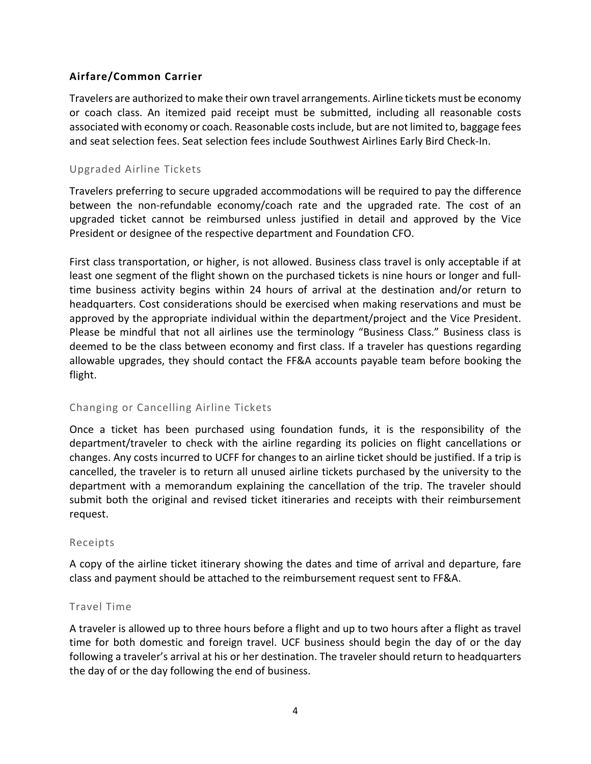# <span id="page-4-0"></span>**Airfare/Common Carrier**

Travelers are authorized to make their own travel arrangements. Airline tickets must be economy or coach class. An itemized paid receipt must be submitted, including all reasonable costs associated with economy or coach. Reasonable costs include, but are not limited to, baggage fees and seat selection fees. Seat selection fees include Southwest Airlines Early Bird Check-In.

# <span id="page-4-1"></span>Upgraded Airline Tickets

Travelers preferring to secure upgraded accommodations will be required to pay the difference between the non-refundable economy/coach rate and the upgraded rate. The cost of an upgraded ticket cannot be reimbursed unless justified in detail and approved by the Vice President or designee of the respective department and Foundation CFO.

First class transportation, or higher, is not allowed. Business class travel is only acceptable if at least one segment of the flight shown on the purchased tickets is nine hours or longer and fulltime business activity begins within 24 hours of arrival at the destination and/or return to headquarters. Cost considerations should be exercised when making reservations and must be approved by the appropriate individual within the department/project and the Vice President. Please be mindful that not all airlines use the terminology "Business Class." Business class is deemed to be the class between economy and first class. If a traveler has questions regarding allowable upgrades, they should contact the FF&A accounts payable team before booking the flight.

### <span id="page-4-2"></span>Changing or Cancelling Airline Tickets

Once a ticket has been purchased using foundation funds, it is the responsibility of the department/traveler to check with the airline regarding its policies on flight cancellations or changes. Any costs incurred to UCFF for changes to an airline ticket should be justified. If a trip is cancelled, the traveler is to return all unused airline tickets purchased by the university to the department with a memorandum explaining the cancellation of the trip. The traveler should submit both the original and revised ticket itineraries and receipts with their reimbursement request.

### <span id="page-4-3"></span>Receipts

A copy of the airline ticket itinerary showing the dates and time of arrival and departure, fare class and payment should be attached to the reimbursement request sent to FF&A.

### <span id="page-4-4"></span>Travel Time

A traveler is allowed up to three hours before a flight and up to two hours after a flight as travel time for both domestic and foreign travel. UCF business should begin the day of or the day following a traveler's arrival at his or her destination. The traveler should return to headquarters the day of or the day following the end of business.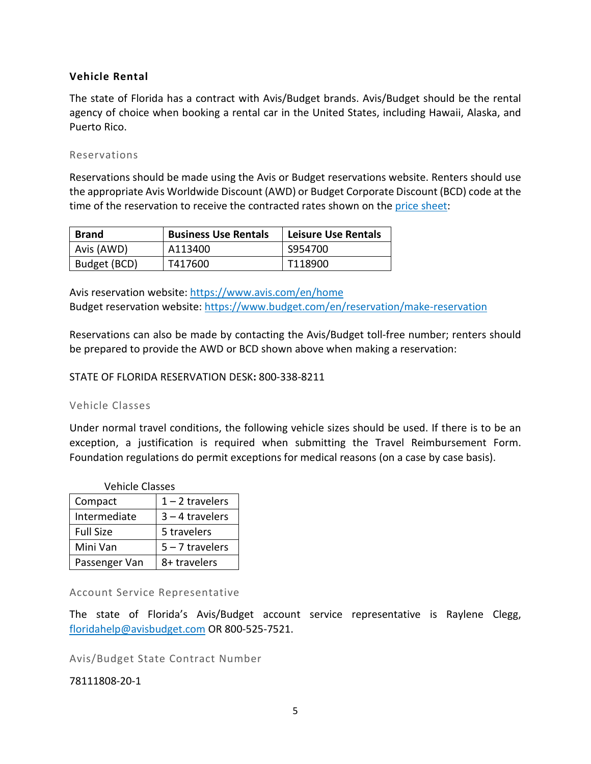# <span id="page-5-0"></span>**Vehicle Rental**

The state of Florida has a contract with Avis/Budget brands. Avis/Budget should be the rental agency of choice when booking a rental car in the United States, including Hawaii, Alaska, and Puerto Rico.

#### <span id="page-5-1"></span>Reservations

Reservations should be made using the Avis or Budget reservations website. Renters should use the appropriate Avis Worldwide Discount (AWD) or Budget Corporate Discount (BCD) code at the time of the reservation to receive the contracted rates shown on the [price sheet:](https://www.dms.myflorida.com/content/download/150465/1002273/file/Rental%20Vehicles%20Price%20Sheet.pdf)

| <b>Brand</b> | <b>Business Use Rentals</b> | <b>Leisure Use Rentals</b> |
|--------------|-----------------------------|----------------------------|
| Avis (AWD)   | A113400                     | S954700                    |
| Budget (BCD) | T417600                     | T118900                    |

Avis reservation website:<https://www.avis.com/en/home> Budget reservation website:<https://www.budget.com/en/reservation/make-reservation>

Reservations can also be made by contacting the Avis/Budget toll-free number; renters should be prepared to provide the AWD or BCD shown above when making a reservation:

STATE OF FLORIDA RESERVATION DESK**:** 800-338-8211

### <span id="page-5-2"></span>Vehicle Classes

Under normal travel conditions, the following vehicle sizes should be used. If there is to be an exception, a justification is required when submitting the Travel Reimbursement Form. Foundation regulations do permit exceptions for medical reasons (on a case by case basis).

| <b>Vehicle Classes</b> |                   |  |  |
|------------------------|-------------------|--|--|
| Compact                | $1 - 2$ travelers |  |  |
| Intermediate           | $3 - 4$ travelers |  |  |
| <b>Full Size</b>       | 5 travelers       |  |  |
| Mini Van               | $5 - 7$ travelers |  |  |
| Passenger Van          | 8+ travelers      |  |  |

<span id="page-5-3"></span>Account Service Representative

The state of Florida's Avis/Budget account service representative is Raylene Clegg, [floridahelp@avisbudget.com](mailto:floridahelp@avisbudget.com) OR 800-525-7521.

<span id="page-5-4"></span>Avis/Budget State Contract Number

78111808-20-1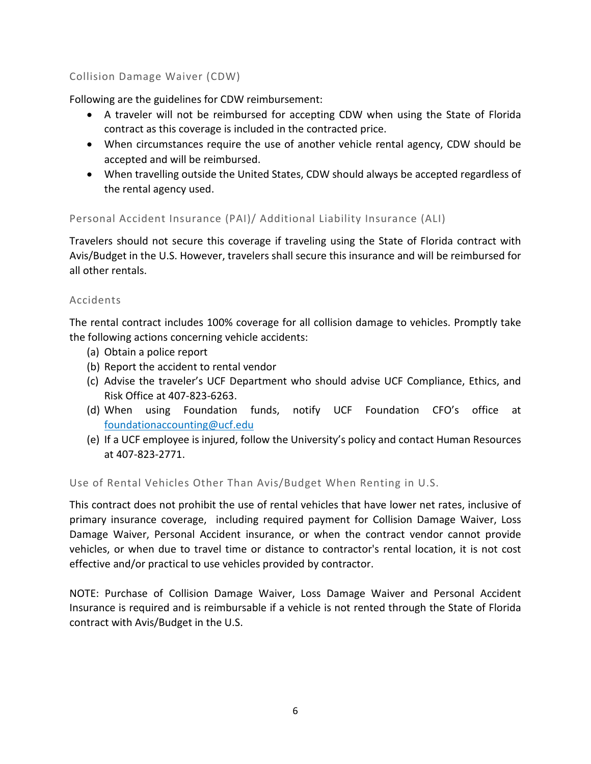# <span id="page-6-0"></span>Collision Damage Waiver (CDW)

Following are the guidelines for CDW reimbursement:

- A traveler will not be reimbursed for accepting CDW when using the State of Florida contract as this coverage is included in the contracted price.
- When circumstances require the use of another vehicle rental agency, CDW should be accepted and will be reimbursed.
- When travelling outside the United States, CDW should always be accepted regardless of the rental agency used.

# <span id="page-6-1"></span>Personal Accident Insurance (PAI)/ Additional Liability Insurance (ALI)

Travelers should not secure this coverage if traveling using the State of Florida contract with Avis/Budget in the U.S. However, travelers shall secure this insurance and will be reimbursed for all other rentals.

### <span id="page-6-2"></span>Accidents

The rental contract includes 100% coverage for all collision damage to vehicles. Promptly take the following actions concerning vehicle accidents:

- (a) Obtain a police report
- (b) Report the accident to rental vendor
- (c) Advise the traveler's UCF Department who should advise UCF Compliance, Ethics, and Risk Office at 407-823-6263.
- (d) When using Foundation funds, notify UCF Foundation CFO's office at [foundationaccounting@ucf.edu](mailto:Ashley.McConnell@ucf.edu)
- (e) If a UCF employee is injured, follow the University's policy and contact Human Resources at 407-823-2771.

<span id="page-6-3"></span>Use of Rental Vehicles Other Than Avis/Budget When Renting in U.S.

This contract does not prohibit the use of rental vehicles that have lower net rates, inclusive of primary insurance coverage, including required payment for Collision Damage Waiver, Loss Damage Waiver, Personal Accident insurance, or when the contract vendor cannot provide vehicles, or when due to travel time or distance to contractor's rental location, it is not cost effective and/or practical to use vehicles provided by contractor.

NOTE: Purchase of Collision Damage Waiver, Loss Damage Waiver and Personal Accident Insurance is required and is reimbursable if a vehicle is not rented through the State of Florida contract with Avis/Budget in the U.S.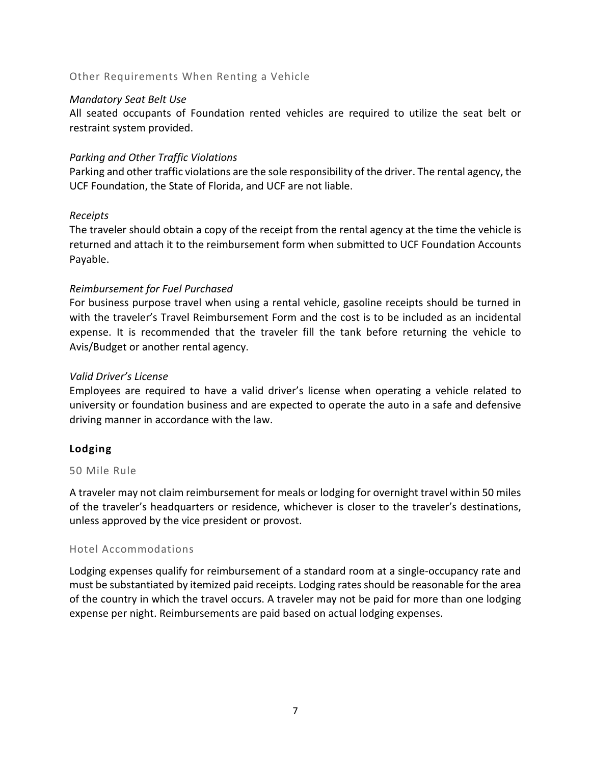### <span id="page-7-0"></span>Other Requirements When Renting a Vehicle

### *Mandatory Seat Belt Use*

All seated occupants of Foundation rented vehicles are required to utilize the seat belt or restraint system provided.

# *Parking and Other Traffic Violations*

Parking and other traffic violations are the sole responsibility of the driver. The rental agency, the UCF Foundation, the State of Florida, and UCF are not liable.

# *Receipts*

The traveler should obtain a copy of the receipt from the rental agency at the time the vehicle is returned and attach it to the reimbursement form when submitted to UCF Foundation Accounts Payable.

# *Reimbursement for Fuel Purchased*

For business purpose travel when using a rental vehicle, gasoline receipts should be turned in with the traveler's Travel Reimbursement Form and the cost is to be included as an incidental expense. It is recommended that the traveler fill the tank before returning the vehicle to Avis/Budget or another rental agency.

# *Valid Driver's License*

Employees are required to have a valid driver's license when operating a vehicle related to university or foundation business and are expected to operate the auto in a safe and defensive driving manner in accordance with the law.

# <span id="page-7-1"></span>**Lodging**

### <span id="page-7-2"></span>50 Mile Rule

A traveler may not claim reimbursement for meals or lodging for overnight travel within 50 miles of the traveler's headquarters or residence, whichever is closer to the traveler's destinations, unless approved by the vice president or provost.

### <span id="page-7-3"></span>Hotel Accommodations

Lodging expenses qualify for reimbursement of a standard room at a single-occupancy rate and must be substantiated by itemized paid receipts. Lodging rates should be reasonable for the area of the country in which the travel occurs. A traveler may not be paid for more than one lodging expense per night. Reimbursements are paid based on actual lodging expenses.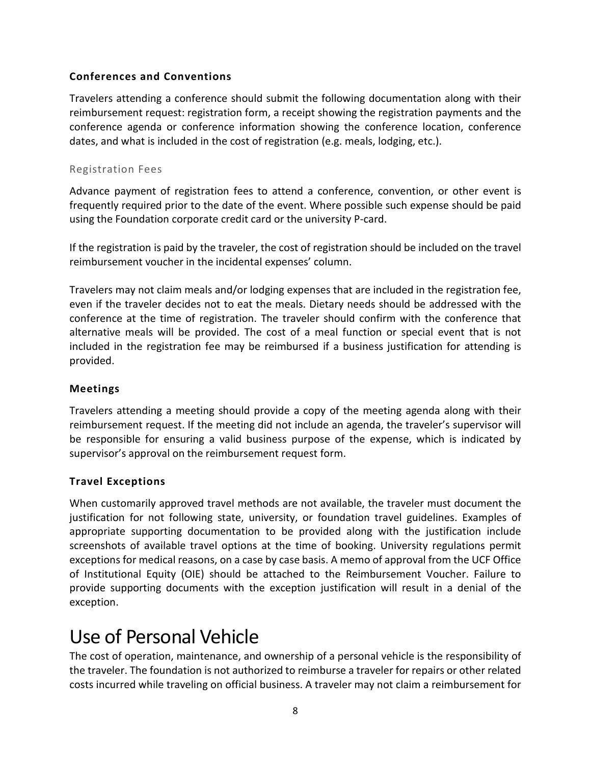# <span id="page-8-0"></span>**Conferences and Conventions**

Travelers attending a conference should submit the following documentation along with their reimbursement request: registration form, a receipt showing the registration payments and the conference agenda or conference information showing the conference location, conference dates, and what is included in the cost of registration (e.g. meals, lodging, etc.).

# <span id="page-8-1"></span>Registration Fees

Advance payment of registration fees to attend a conference, convention, or other event is frequently required prior to the date of the event. Where possible such expense should be paid using the Foundation corporate credit card or the university P-card.

If the registration is paid by the traveler, the cost of registration should be included on the travel reimbursement voucher in the incidental expenses' column.

Travelers may not claim meals and/or lodging expenses that are included in the registration fee, even if the traveler decides not to eat the meals. Dietary needs should be addressed with the conference at the time of registration. The traveler should confirm with the conference that alternative meals will be provided. The cost of a meal function or special event that is not included in the registration fee may be reimbursed if a business justification for attending is provided.

# <span id="page-8-2"></span>**Meetings**

Travelers attending a meeting should provide a copy of the meeting agenda along with their reimbursement request. If the meeting did not include an agenda, the traveler's supervisor will be responsible for ensuring a valid business purpose of the expense, which is indicated by supervisor's approval on the reimbursement request form.

# <span id="page-8-3"></span>**Travel Exceptions**

When customarily approved travel methods are not available, the traveler must document the justification for not following state, university, or foundation travel guidelines. Examples of appropriate supporting documentation to be provided along with the justification include screenshots of available travel options at the time of booking. University regulations permit exceptions for medical reasons, on a case by case basis. A memo of approval from the UCF Office of Institutional Equity (OIE) should be attached to the Reimbursement Voucher. Failure to provide supporting documents with the exception justification will result in a denial of the exception.

# <span id="page-8-4"></span>Use of Personal Vehicle

The cost of operation, maintenance, and ownership of a personal vehicle is the responsibility of the traveler. The foundation is not authorized to reimburse a traveler for repairs or other related costs incurred while traveling on official business. A traveler may not claim a reimbursement for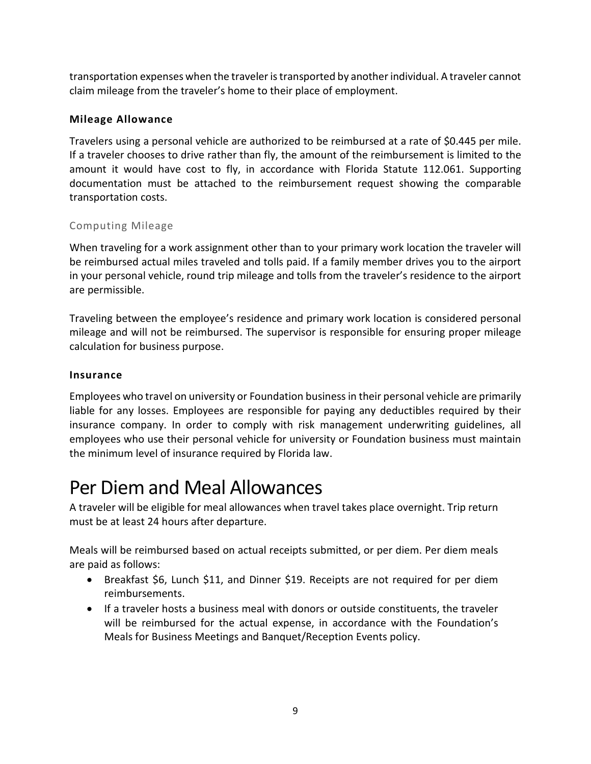transportation expenses when the traveler is transported by another individual. A traveler cannot claim mileage from the traveler's home to their place of employment.

# <span id="page-9-0"></span>**Mileage Allowance**

Travelers using a personal vehicle are authorized to be reimbursed at a rate of \$0.445 per mile. If a traveler chooses to drive rather than fly, the amount of the reimbursement is limited to the amount it would have cost to fly, in accordance with Florida Statute 112.061. Supporting documentation must be attached to the reimbursement request showing the comparable transportation costs.

# <span id="page-9-1"></span>Computing Mileage

When traveling for a work assignment other than to your primary work location the traveler will be reimbursed actual miles traveled and tolls paid. If a family member drives you to the airport in your personal vehicle, round trip mileage and tolls from the traveler's residence to the airport are permissible.

Traveling between the employee's residence and primary work location is considered personal mileage and will not be reimbursed. The supervisor is responsible for ensuring proper mileage calculation for business purpose.

# <span id="page-9-2"></span>**Insurance**

Employees who travel on university or Foundation business in their personal vehicle are primarily liable for any losses. Employees are responsible for paying any deductibles required by their insurance company. In order to comply with risk management underwriting guidelines, all employees who use their personal vehicle for university or Foundation business must maintain the minimum level of insurance required by Florida law.

# <span id="page-9-3"></span>Per Diem and Meal Allowances

A traveler will be eligible for meal allowances when travel takes place overnight. Trip return must be at least 24 hours after departure.

Meals will be reimbursed based on actual receipts submitted, or per diem. Per diem meals are paid as follows:

- Breakfast \$6, Lunch \$11, and Dinner \$19. Receipts are not required for per diem reimbursements.
- If a traveler hosts a business meal with donors or outside constituents, the traveler will be reimbursed for the actual expense, in accordance with the Foundation's Meals for Business Meetings and Banquet/Reception Events policy.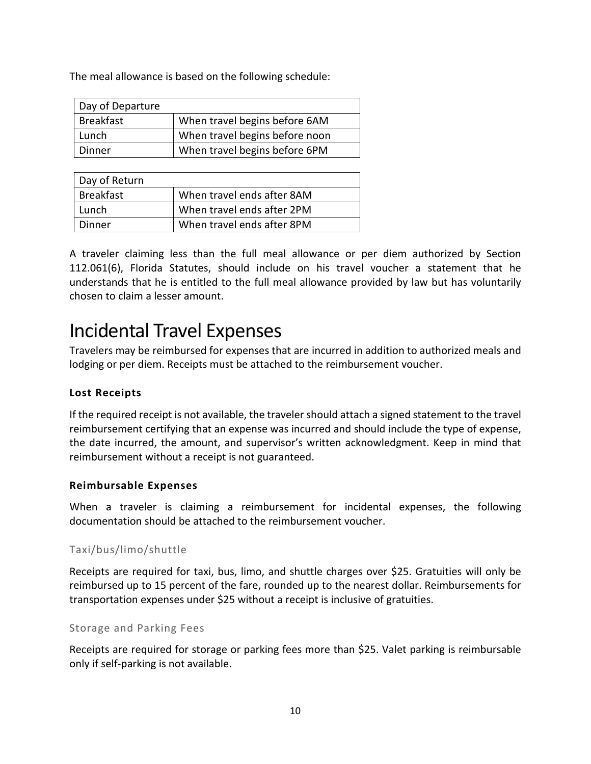The meal allowance is based on the following schedule:

| Day of Departure |                                |
|------------------|--------------------------------|
| <b>Breakfast</b> | When travel begins before 6AM  |
| Lunch            | When travel begins before noon |
| Dinner           | When travel begins before 6PM  |

| Day of Return    |                            |
|------------------|----------------------------|
| <b>Breakfast</b> | When travel ends after 8AM |
| Lunch            | When travel ends after 2PM |
| Dinner           | When travel ends after 8PM |

A traveler claiming less than the full meal allowance or per diem authorized by Section 112.061(6), Florida Statutes, should include on his travel voucher a statement that he understands that he is entitled to the full meal allowance provided by law but has voluntarily chosen to claim a lesser amount.

# <span id="page-10-0"></span>Incidental Travel Expenses

Travelers may be reimbursed for expenses that are incurred in addition to authorized meals and lodging or per diem. Receipts must be attached to the reimbursement voucher.

# <span id="page-10-1"></span>**Lost Receipts**

If the required receipt is not available, the traveler should attach a signed statement to the travel reimbursement certifying that an expense was incurred and should include the type of expense, the date incurred, the amount, and supervisor's written acknowledgment. Keep in mind that reimbursement without a receipt is not guaranteed.

# <span id="page-10-2"></span>**Reimbursable Expenses**

When a traveler is claiming a reimbursement for incidental expenses, the following documentation should be attached to the reimbursement voucher.

# <span id="page-10-3"></span>Taxi/bus/limo/shuttle

Receipts are required for taxi, bus, limo, and shuttle charges over \$25. Gratuities will only be reimbursed up to 15 percent of the fare, rounded up to the nearest dollar. Reimbursements for transportation expenses under \$25 without a receipt is inclusive of gratuities.

### <span id="page-10-4"></span>Storage and Parking Fees

Receipts are required for storage or parking fees more than \$25. Valet parking is reimbursable only if self-parking is not available.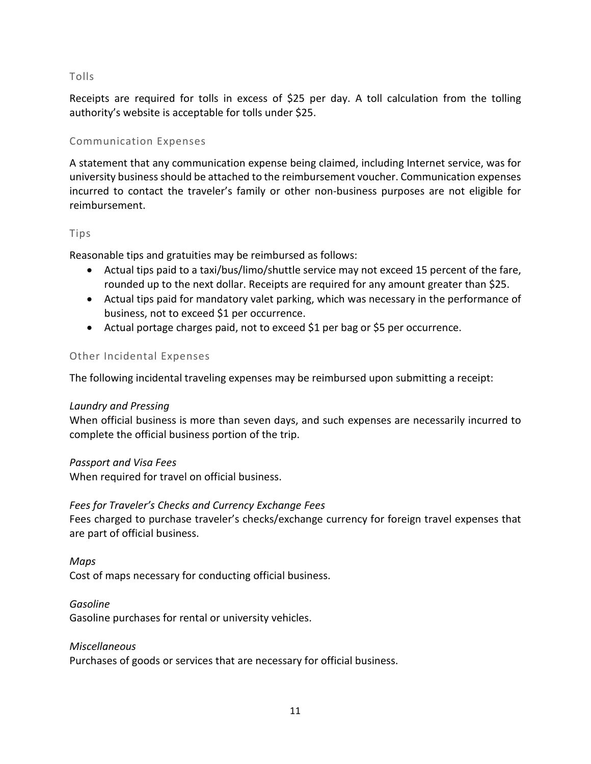# <span id="page-11-0"></span>Tolls

Receipts are required for tolls in excess of \$25 per day. A toll calculation from the tolling authority's website is acceptable for tolls under \$25.

# <span id="page-11-1"></span>Communication Expenses

A statement that any communication expense being claimed, including Internet service, was for university business should be attached to the reimbursement voucher. Communication expenses incurred to contact the traveler's family or other non-business purposes are not eligible for reimbursement.

#### <span id="page-11-2"></span>Tips

Reasonable tips and gratuities may be reimbursed as follows:

- Actual tips paid to a taxi/bus/limo/shuttle service may not exceed 15 percent of the fare, rounded up to the next dollar. Receipts are required for any amount greater than \$25.
- Actual tips paid for mandatory valet parking, which was necessary in the performance of business, not to exceed \$1 per occurrence.
- Actual portage charges paid, not to exceed \$1 per bag or \$5 per occurrence.

### <span id="page-11-3"></span>Other Incidental Expenses

The following incidental traveling expenses may be reimbursed upon submitting a receipt:

### *Laundry and Pressing*

When official business is more than seven days, and such expenses are necessarily incurred to complete the official business portion of the trip.

### *Passport and Visa Fees*

When required for travel on official business.

### *Fees for Traveler's Checks and Currency Exchange Fees*

Fees charged to purchase traveler's checks/exchange currency for foreign travel expenses that are part of official business.

### *Maps*

Cost of maps necessary for conducting official business.

### *Gasoline*

Gasoline purchases for rental or university vehicles.

#### *Miscellaneous*

Purchases of goods or services that are necessary for official business.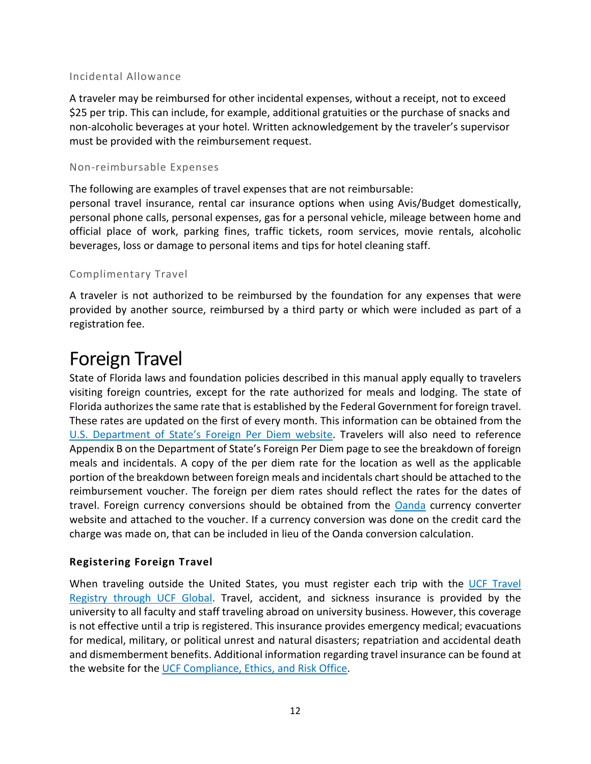# <span id="page-12-0"></span>Incidental Allowance

A traveler may be reimbursed for other incidental expenses, without a receipt, not to exceed \$25 per trip. This can include, for example, additional gratuities or the purchase of snacks and non-alcoholic beverages at your hotel. Written acknowledgement by the traveler's supervisor must be provided with the reimbursement request.

# <span id="page-12-1"></span>Non-reimbursable Expenses

The following are examples of travel expenses that are not reimbursable:

personal travel insurance, rental car insurance options when using Avis/Budget domestically, personal phone calls, personal expenses, gas for a personal vehicle, mileage between home and official place of work, parking fines, traffic tickets, room services, movie rentals, alcoholic beverages, loss or damage to personal items and tips for hotel cleaning staff.

# <span id="page-12-2"></span>Complimentary Travel

A traveler is not authorized to be reimbursed by the foundation for any expenses that were provided by another source, reimbursed by a third party or which were included as part of a registration fee.

# <span id="page-12-3"></span>Foreign Travel

State of Florida laws and foundation policies described in this manual apply equally to travelers visiting foreign countries, except for the rate authorized for meals and lodging. The state of Florida authorizes the same rate that is established by the Federal Government for foreign travel. These rates are updated on the first of every month. This information can be obtained from the [U.S. Department of State's Foreign Per Diem website.](https://aoprals.state.gov/content.asp?content_id=184&menu_id=78) Travelers will also need to reference Appendix B on the Department of State's Foreign Per Diem page to see the breakdown of foreign meals and incidentals. A copy of the per diem rate for the location as well as the applicable portion of the breakdown between foreign meals and incidentals chart should be attached to the reimbursement voucher. The foreign per diem rates should reflect the rates for the dates of travel. Foreign currency conversions should be obtained from the [Oanda](https://www1.oanda.com/currency/converter/) currency converter website and attached to the voucher. If a currency conversion was done on the credit card the charge was made on, that can be included in lieu of the Oanda conversion calculation.

# <span id="page-12-4"></span>**Registering Foreign Travel**

When traveling outside the United States, you must register each trip with the UCF Travel [Registry through UCF Global.](https://www1.oanda.com/currency/converter/) Travel, accident, and sickness insurance is provided by the university to all faculty and staff traveling abroad on university business. However, this coverage is not effective until a trip is registered. This insurance provides emergency medical; evacuations for medical, military, or political unrest and natural disasters; repatriation and accidental death and dismemberment benefits. Additional information regarding travel insurance can be found at the website for the [UCF Compliance, Ethics, and Risk Office.](https://compliance.ucf.edu/enterprise-risk-management/insurance/travel-insurance/)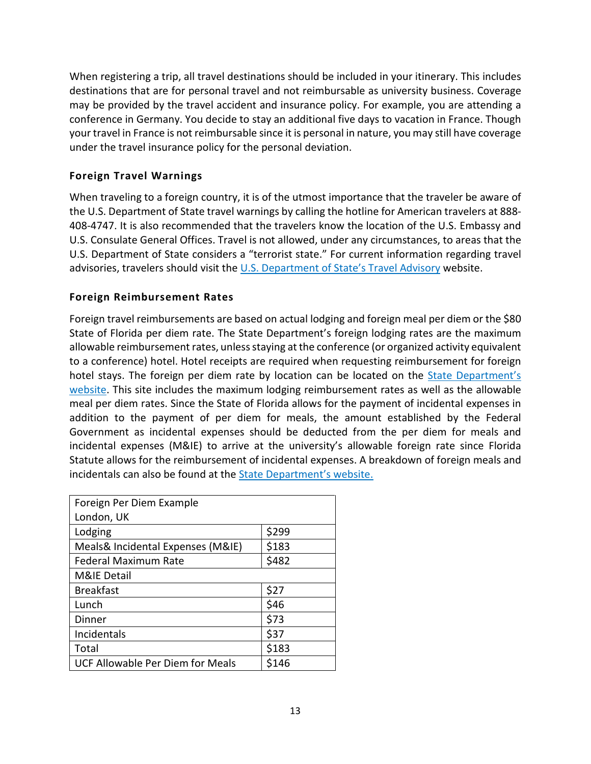When registering a trip, all travel destinations should be included in your itinerary. This includes destinations that are for personal travel and not reimbursable as university business. Coverage may be provided by the travel accident and insurance policy. For example, you are attending a conference in Germany. You decide to stay an additional five days to vacation in France. Though your travel in France is not reimbursable since it is personal in nature, you may still have coverage under the travel insurance policy for the personal deviation.

# <span id="page-13-0"></span>**Foreign Travel Warnings**

When traveling to a foreign country, it is of the utmost importance that the traveler be aware of the U.S. Department of State travel warnings by calling the hotline for American travelers at 888- 408-4747. It is also recommended that the travelers know the location of the U.S. Embassy and U.S. Consulate General Offices. Travel is not allowed, under any circumstances, to areas that the U.S. Department of State considers a "terrorist state." For current information regarding travel advisories, travelers should visit the [U.S. Department of State's Travel Advisory](https://travel.state.gov/content/travel/en/traveladvisories/traveladvisories.html) website.

# <span id="page-13-1"></span>**Foreign Reimbursement Rates**

Foreign travel reimbursements are based on actual lodging and foreign meal per diem or the \$80 State of Florida per diem rate. The State Department's foreign lodging rates are the maximum allowable reimbursement rates, unless staying at the conference (or organized activity equivalent to a conference) hotel. Hotel receipts are required when requesting reimbursement for foreign hotel stays. The foreign per diem rate by location can be located on the State Department's [website.](https://aoprals.state.gov/content.asp?content_id=184&menu_id=78) This site includes the maximum lodging reimbursement rates as well as the allowable meal per diem rates. Since the State of Florida allows for the payment of incidental expenses in addition to the payment of per diem for meals, the amount established by the Federal Government as incidental expenses should be deducted from the per diem for meals and incidental expenses (M&IE) to arrive at the university's allowable foreign rate since Florida Statute allows for the reimbursement of incidental expenses. A breakdown of foreign meals and incidentals can also be found at the [State Department's website.](https://aoprals.state.gov/content.asp?content_id=184&menu_id=78)

| Foreign Per Diem Example                |       |
|-----------------------------------------|-------|
| London, UK                              |       |
| Lodging                                 | \$299 |
| Meals& Incidental Expenses (M&IE)       | \$183 |
| <b>Federal Maximum Rate</b>             | \$482 |
| <b>M&amp;IE Detail</b>                  |       |
| <b>Breakfast</b>                        | \$27  |
| Lunch                                   | \$46  |
| Dinner                                  | \$73  |
| Incidentals                             | \$37  |
| Total                                   | \$183 |
| <b>UCF Allowable Per Diem for Meals</b> | \$146 |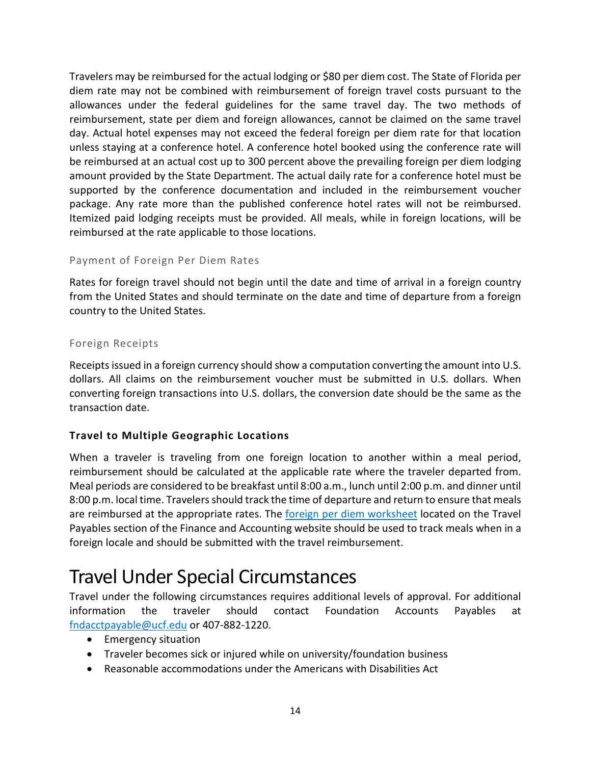Travelers may be reimbursed for the actual lodging or \$80 per diem cost. The State of Florida per diem rate may not be combined with reimbursement of foreign travel costs pursuant to the allowances under the federal guidelines for the same travel day. The two methods of reimbursement, state per diem and foreign allowances, cannot be claimed on the same travel day. Actual hotel expenses may not exceed the federal foreign per diem rate for that location unless staying at a conference hotel. A conference hotel booked using the conference rate will be reimbursed at an actual cost up to 300 percent above the prevailing foreign per diem lodging amount provided by the State Department. The actual daily rate for a conference hotel must be supported by the conference documentation and included in the reimbursement voucher package. Any rate more than the published conference hotel rates will not be reimbursed. Itemized paid lodging receipts must be provided. All meals, while in foreign locations, will be reimbursed at the rate applicable to those locations.

# <span id="page-14-0"></span>Payment of Foreign Per Diem Rates

Rates for foreign travel should not begin until the date and time of arrival in a foreign country from the United States and should terminate on the date and time of departure from a foreign country to the United States.

### <span id="page-14-1"></span>Foreign Receipts

Receipts issued in a foreign currency should show a computation converting the amount into U.S. dollars. All claims on the reimbursement voucher must be submitted in U.S. dollars. When converting foreign transactions into U.S. dollars, the conversion date should be the same as the transaction date.

# <span id="page-14-2"></span>**Travel to Multiple Geographic Locations**

When a traveler is traveling from one foreign location to another within a meal period, reimbursement should be calculated at the applicable rate where the traveler departed from. Meal periods are considered to be breakfast until 8:00 a.m., lunch until 2:00 p.m. and dinner until 8:00 p.m. local time. Travelers should track the time of departure and return to ensure that meals are reimbursed at the appropriate rates. The [foreign per diem worksheet](https://fa.ucf.edu/wp-content/uploads/sites/2/Foreign_Travel.pdf) located on the Travel Payables section of the Finance and Accounting website should be used to track meals when in a foreign locale and should be submitted with the travel reimbursement.

# <span id="page-14-3"></span>Travel Under Special Circumstances

Travel under the following circumstances requires additional levels of approval. For additional information the traveler should contact Foundation Accounts Payables at [fndacctpayable@ucf.edu](mailto:fndacctpayable@ucf.edu?subject=Travel%20Under%20Special%20Circumstances) or 407-882-1220.

- Emergency situation
- Traveler becomes sick or injured while on university/foundation business
- Reasonable accommodations under the Americans with Disabilities Act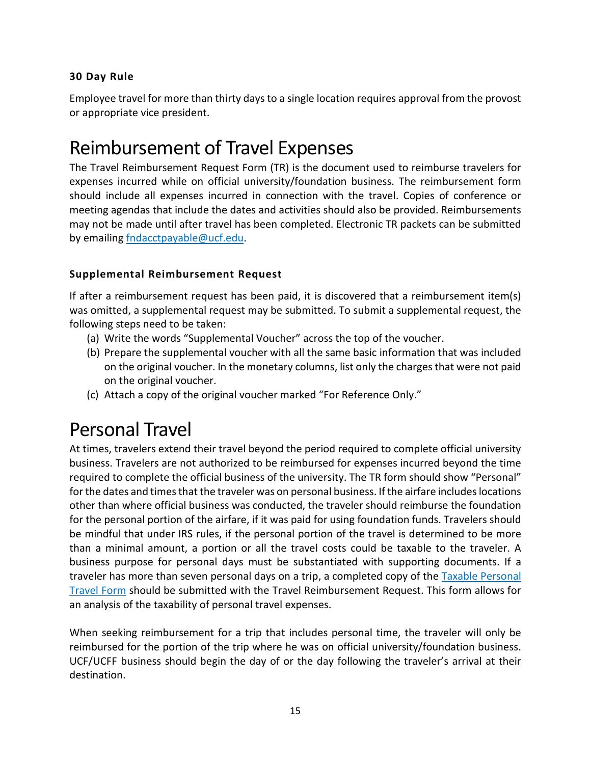# <span id="page-15-0"></span>**30 Day Rule**

Employee travel for more than thirty days to a single location requires approval from the provost or appropriate vice president.

# <span id="page-15-1"></span>Reimbursement of Travel Expenses

The Travel Reimbursement Request Form (TR) is the document used to reimburse travelers for expenses incurred while on official university/foundation business. The reimbursement form should include all expenses incurred in connection with the travel. Copies of conference or meeting agendas that include the dates and activities should also be provided. Reimbursements may not be made until after travel has been completed. Electronic TR packets can be submitted by emailin[g fndacctpayable@ucf.edu.](mailto:fndacctpayable@ucf.edu)

# <span id="page-15-2"></span>**Supplemental Reimbursement Request**

If after a reimbursement request has been paid, it is discovered that a reimbursement item(s) was omitted, a supplemental request may be submitted. To submit a supplemental request, the following steps need to be taken:

- (a) Write the words "Supplemental Voucher" across the top of the voucher.
- (b) Prepare the supplemental voucher with all the same basic information that was included on the original voucher. In the monetary columns, list only the charges that were not paid on the original voucher.
- (c) Attach a copy of the original voucher marked "For Reference Only."

# <span id="page-15-3"></span>Personal Travel

At times, travelers extend their travel beyond the period required to complete official university business. Travelers are not authorized to be reimbursed for expenses incurred beyond the time required to complete the official business of the university. The TR form should show "Personal" for the dates and times that the traveler was on personal business. If the airfare includes locations other than where official business was conducted, the traveler should reimburse the foundation for the personal portion of the airfare, if it was paid for using foundation funds. Travelers should be mindful that under IRS rules, if the personal portion of the travel is determined to be more than a minimal amount, a portion or all the travel costs could be taxable to the traveler. A business purpose for personal days must be substantiated with supporting documents. If a traveler has more than seven personal days on a trip, a completed copy of the Taxable Personal [Travel Form](https://fa.ucf.edu/travel-payables-forms/) should be submitted with the Travel Reimbursement Request. This form allows for an analysis of the taxability of personal travel expenses.

When seeking reimbursement for a trip that includes personal time, the traveler will only be reimbursed for the portion of the trip where he was on official university/foundation business. UCF/UCFF business should begin the day of or the day following the traveler's arrival at their destination.